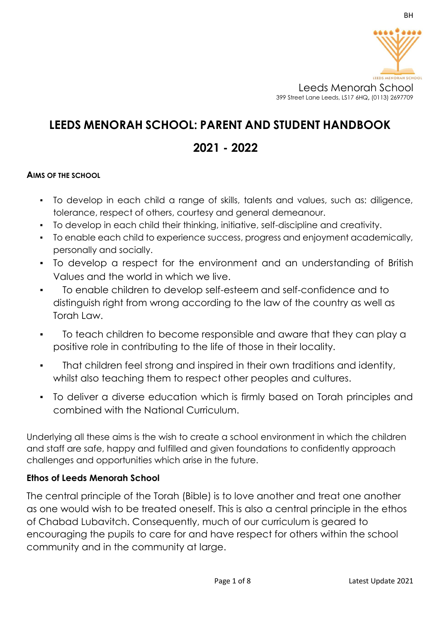

# **LEEDS MENORAH SCHOOL: PARENT AND STUDENT HANDBOOK**

# **2021 - 2022**

## **AIMS OF THE SCHOOL**

- To develop in each child a range of skills, talents and values, such as: diligence, tolerance, respect of others, courtesy and general demeanour.
- To develop in each child their thinking, initiative, self-discipline and creativity.
- To enable each child to experience success, progress and enjoyment academically, personally and socially.
- To develop a respect for the environment and an understanding of British Values and the world in which we live.
- To enable children to develop self-esteem and self-confidence and to distinguish right from wrong according to the law of the country as well as Torah Law.
- To teach children to become responsible and aware that they can play a positive role in contributing to the life of those in their locality.
- That children feel strong and inspired in their own traditions and identity, whilst also teaching them to respect other peoples and cultures.
- To deliver a diverse education which is firmly based on Torah principles and combined with the National Curriculum.

Underlying all these aims is the wish to create a school environment in which the children and staff are safe, happy and fulfilled and given foundations to confidently approach challenges and opportunities which arise in the future.

## **Ethos of Leeds Menorah School**

The central principle of the Torah (Bible) is to love another and treat one another as one would wish to be treated oneself. This is also a central principle in the ethos of Chabad Lubavitch. Consequently, much of our curriculum is geared to encouraging the pupils to care for and have respect for others within the school community and in the community at large.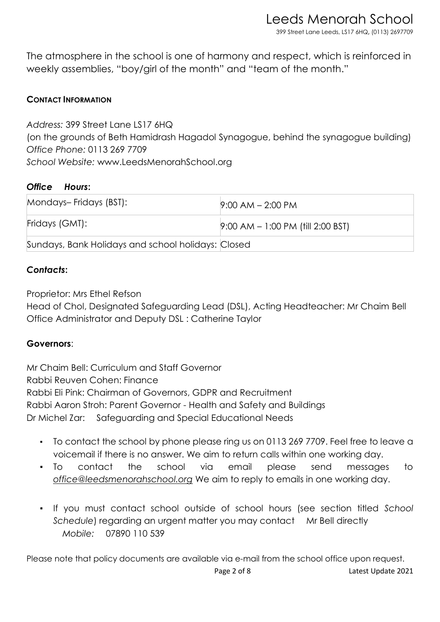Leeds Menorah School 399 Street Lane Leeds, LS17 6HQ**,** (0113) 2697709

The atmosphere in the school is one of harmony and respect, which is reinforced in weekly assemblies, "boy/girl of the month" and "team of the month."

# **CONTACT INFORMATION**

*Address:* 399 Street Lane LS17 6HQ (on the grounds of Beth Hamidrash Hagadol Synagogue, behind the synagogue building) *Office Phone:* 0113 269 7709 *School Website:* www.LeedsMenorahSchool.org

## *Office Hours***:**

| Mondays-Fridays (BST):                             | $9:00$ AM $- 2:00$ PM                  |
|----------------------------------------------------|----------------------------------------|
| Fridays (GMT):                                     | $[9:00$ AM $- 1:00$ PM (fill 2:00 BST) |
| Sundays, Bank Holidays and school holidays: Closed |                                        |

# *Contacts***:**

Proprietor: Mrs Ethel Refson

Head of Chol, Designated Safeguarding Lead (DSL), Acting Headteacher: Mr Chaim Bell Office Administrator and Deputy DSL : Catherine Taylor

## **Governors**:

Mr Chaim Bell: Curriculum and Staff Governor Rabbi Reuven Cohen: Finance Rabbi Eli Pink: Chairman of Governors, GDPR and Recruitment Rabbi Aaron Stroh: Parent Governor - Health and Safety and Buildings Dr Michel Zar: Safeguarding and Special Educational Needs

- To contact the school by phone please ring us on 0113 269 7709. Feel free to leave a voicemail if there is no answer. We aim to return calls within one working day.
- To contact the school via email please send messages to *office@leedsmenorahschool.org* We aim to reply to emails in one working day.
- If you must contact school outside of school hours (see section titled *School Schedule*) regarding an urgent matter you may contact Mr Bell directly *Mobile:* 07890 110 539

Please note that policy documents are available via e-mail from the school office upon request.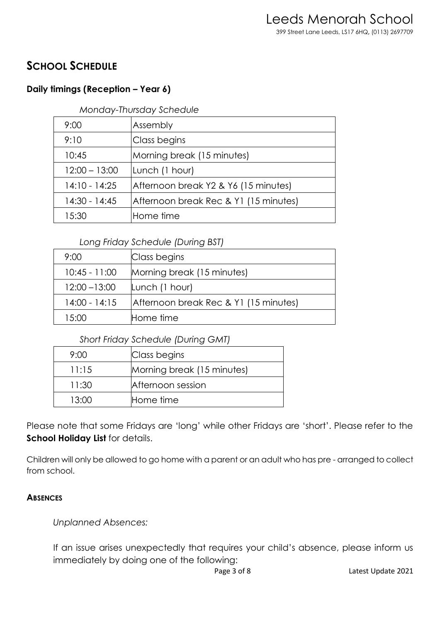# **SCHOOL SCHEDULE**

# **Daily timings (Reception – Year 6)**

*Monday-Thursday Schedule* 

| 9:00            | Assembly                              |
|-----------------|---------------------------------------|
| 9:10            | Class begins                          |
| 10:45           | Morning break (15 minutes)            |
| $12:00 - 13:00$ | Lunch (1 hour)                        |
| $14:10 - 14:25$ | Afternoon break Y2 & Y6 (15 minutes)  |
| 14:30 - 14:45   | Afternoon break Rec & Y1 (15 minutes) |
| 15:30           | Home time                             |

# *Long Friday Schedule (During BST)*

| 9:00            | Class begins                          |
|-----------------|---------------------------------------|
| $10:45 - 11:00$ | Morning break (15 minutes)            |
| $12:00 - 13:00$ | Lunch (1 hour)                        |
| $14:00 - 14:15$ | Afternoon break Rec & Y1 (15 minutes) |
| 15:00           | Home time                             |

# *Short Friday Schedule (During GMT)*

| 9:00  | Class begins               |
|-------|----------------------------|
| 11:15 | Morning break (15 minutes) |
| 11:30 | Afternoon session          |
| 13:00 | Home time                  |

Please note that some Fridays are 'long' while other Fridays are 'short'. Please refer to the **School Holiday List for details.** 

Children will only be allowed to go home with a parent or an adult who has pre - arranged to collect from school.

# **ABSENCES**

# *Unplanned Absences:*

If an issue arises unexpectedly that requires your child's absence, please inform us immediately by doing one of the following: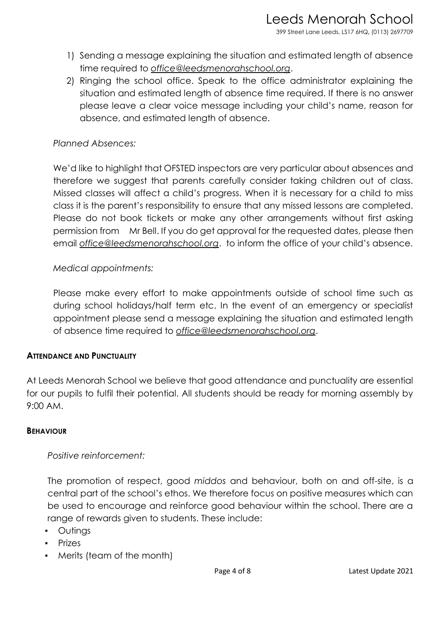- 1) Sending a message explaining the situation and estimated length of absence time required to *office@leedsmenorahschool.org*.
- 2) Ringing the school office. Speak to the office administrator explaining the situation and estimated length of absence time required. If there is no answer please leave a clear voice message including your child's name, reason for absence, and estimated length of absence.

# *Planned Absences:*

We'd like to highlight that OFSTED inspectors are very particular about absences and therefore we suggest that parents carefully consider taking children out of class. Missed classes will affect a child's progress. When it is necessary for a child to miss class it is the parent's responsibility to ensure that any missed lessons are completed. Please do not book tickets or make any other arrangements without first asking permission from Mr Bell. If you do get approval for the requested dates, please then email *office@leedsmenorahschool.org*. to inform the office of your child's absence.

# *Medical appointments:*

Please make every effort to make appointments outside of school time such as during school holidays/half term etc. In the event of an emergency or specialist appointment please send a message explaining the situation and estimated length of absence time required to *office@leedsmenorahschool.org*.

## **ATTENDANCE AND PUNCTUALITY**

At Leeds Menorah School we believe that good attendance and punctuality are essential for our pupils to fulfil their potential. All students should be ready for morning assembly by 9:00 AM.

#### **BEHAVIOUR**

## *Positive reinforcement:*

The promotion of respect, good *middos* and behaviour, both on and off-site, is a central part of the school's ethos. We therefore focus on positive measures which can be used to encourage and reinforce good behaviour within the school. There are a range of rewards given to students. These include:

- Outings
- Prizes
- Merits (team of the month)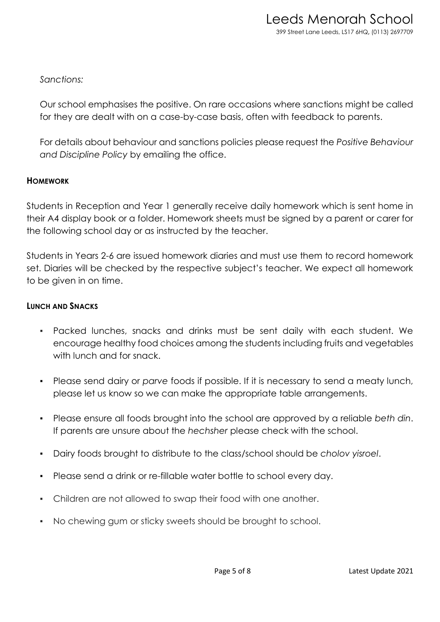# *Sanctions:*

Our school emphasises the positive. On rare occasions where sanctions might be called for they are dealt with on a case-by-case basis, often with feedback to parents.

For details about behaviour and sanctions policies please request the *Positive Behaviour and Discipline Policy* by emailing the office.

## **HOMEWORK**

Students in Reception and Year 1 generally receive daily homework which is sent home in their A4 display book or a folder. Homework sheets must be signed by a parent or carer for the following school day or as instructed by the teacher.

Students in Years 2-6 are issued homework diaries and must use them to record homework set. Diaries will be checked by the respective subject's teacher. We expect all homework to be given in on time.

### **LUNCH AND SNACKS**

- Packed lunches, snacks and drinks must be sent daily with each student. We encourage healthy food choices among the students including fruits and vegetables with lunch and for snack.
- Please send dairy or *parve* foods if possible. If it is necessary to send a meaty lunch, please let us know so we can make the appropriate table arrangements.
- Please ensure all foods brought into the school are approved by a reliable *beth din*. If parents are unsure about the *hechsher* please check with the school.
- Dairy foods brought to distribute to the class/school should be *cholov yisroel*.
- Please send a drink or re-fillable water bottle to school every day.
- Children are not allowed to swap their food with one another.
- No chewing gum or sticky sweets should be brought to school.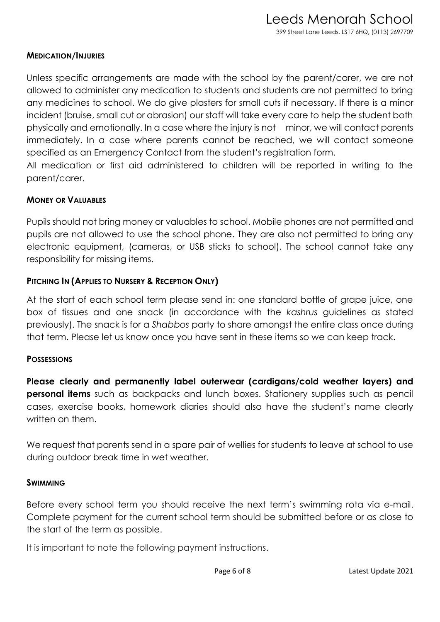### **MEDICATION/INJURIES**

Unless specific arrangements are made with the school by the parent/carer, we are not allowed to administer any medication to students and students are not permitted to bring any medicines to school. We do give plasters for small cuts if necessary. If there is a minor incident (bruise, small cut or abrasion) our staff will take every care to help the student both physically and emotionally. In a case where the injury is not minor, we will contact parents immediately. In a case where parents cannot be reached, we will contact someone specified as an Emergency Contact from the student's registration form.

All medication or first aid administered to children will be reported in writing to the parent/carer.

## **MONEY OR VALUABLES**

Pupils should not bring money or valuables to school. Mobile phones are not permitted and pupils are not allowed to use the school phone. They are also not permitted to bring any electronic equipment, (cameras, or USB sticks to school). The school cannot take any responsibility for missing items.

## **PITCHING IN (APPLIES TO NURSERY & RECEPTION ONLY)**

At the start of each school term please send in: one standard bottle of grape juice, one box of tissues and one snack (in accordance with the *kashrus* guidelines as stated previously). The snack is for a *Shabbos* party to share amongst the entire class once during that term. Please let us know once you have sent in these items so we can keep track.

## **POSSESSIONS**

**Please clearly and permanently label outerwear (cardigans/cold weather layers) and personal items** such as backpacks and lunch boxes. Stationery supplies such as pencil cases, exercise books, homework diaries should also have the student's name clearly written on them.

We request that parents send in a spare pair of wellies for students to leave at school to use during outdoor break time in wet weather.

#### **SWIMMING**

Before every school term you should receive the next term's swimming rota via e-mail. Complete payment for the current school term should be submitted before or as close to the start of the term as possible.

It is important to note the following payment instructions.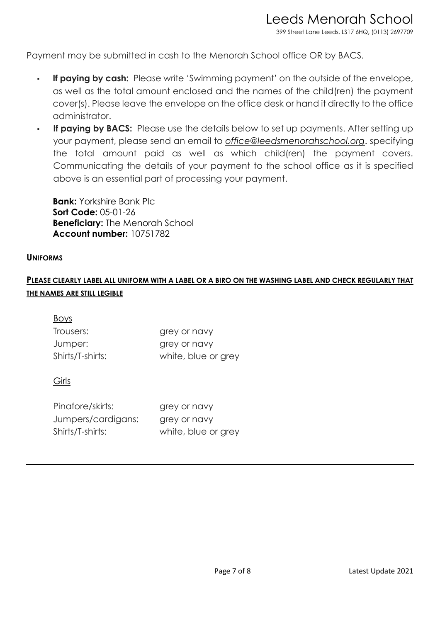399 Street Lane Leeds, LS17 6HQ**,** (0113) 2697709

Payment may be submitted in cash to the Menorah School office OR by BACS.

- **If paying by cash:** Please write 'Swimming payment' on the outside of the envelope, as well as the total amount enclosed and the names of the child(ren) the payment cover(s). Please leave the envelope on the office desk or hand it directly to the office administrator.
- If paying by BACS: Please use the details below to set up payments. After setting up your payment, please send an email to *office@leedsmenorahschool.org*. specifying the total amount paid as well as which child(ren) the payment covers. Communicating the details of your payment to the school office as it is specified above is an essential part of processing your payment.

**Bank:** Yorkshire Bank Plc **Sort Code:** 05-01-26 **Beneficiary:** The Menorah School **Account number:** 10751782

#### **UNIFORMS**

# **PLEASE CLEARLY LABEL ALL UNIFORM WITH A LABEL OR A BIRO ON THE WASHING LABEL AND CHECK REGULARLY THAT THE NAMES ARE STILL LEGIBLE**

| <b>Boys</b>      |                     |
|------------------|---------------------|
| Trousers:        | grey or navy        |
| Jumper:          | grey or navy        |
| Shirts/T-shirts: | white, blue or grey |

#### Girls

| Pinafore/skirts:   | grey or navy        |
|--------------------|---------------------|
| Jumpers/cardigans: | grey or navy        |
| Shirts/T-shirts:   | white, blue or grey |